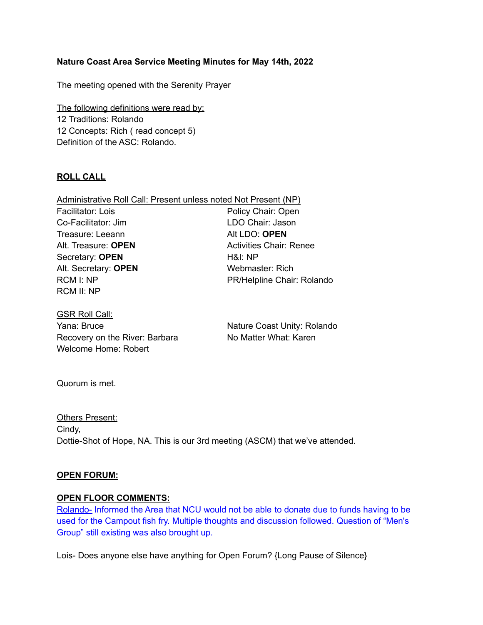## **Nature Coast Area Service Meeting Minutes for May 14th, 2022**

The meeting opened with the Serenity Prayer

The following definitions were read by: 12 Traditions: Rolando 12 Concepts: Rich ( read concept 5) Definition of the ASC: Rolando.

## **ROLL CALL**

| Administrative Roll Call: Present unless noted Not Present (NP) |                                |
|-----------------------------------------------------------------|--------------------------------|
| Facilitator: Lois                                               | Policy Chair: Open             |
| Co-Facilitator: Jim                                             | LDO Chair: Jason               |
| Treasure: Leeann                                                | Alt LDO: OPEN                  |
| Alt. Treasure: <b>OPEN</b>                                      | <b>Activities Chair: Renee</b> |
| Secretary: OPEN                                                 | H&I: NP                        |
| Alt. Secretary: OPEN                                            | Webmaster: Rich                |
| RCM I: NP                                                       | PR/Helpline Chair: Rolando     |
| <b>RCM II: NP</b>                                               |                                |

GSR Roll Call: Yana: Bruce Nature Coast Unity: Rolando Recovery on the River: Barbara No Matter What: Karen Welcome Home: Robert

Quorum is met.

**Others Present:** Cindy, Dottie-Shot of Hope, NA. This is our 3rd meeting (ASCM) that we've attended.

#### **OPEN FORUM:**

#### **OPEN FLOOR COMMENTS:**

Rolando- Informed the Area that NCU would not be able to donate due to funds having to be used for the Campout fish fry. Multiple thoughts and discussion followed. Question of "Men's Group" still existing was also brought up.

Lois- Does anyone else have anything for Open Forum? {Long Pause of Silence}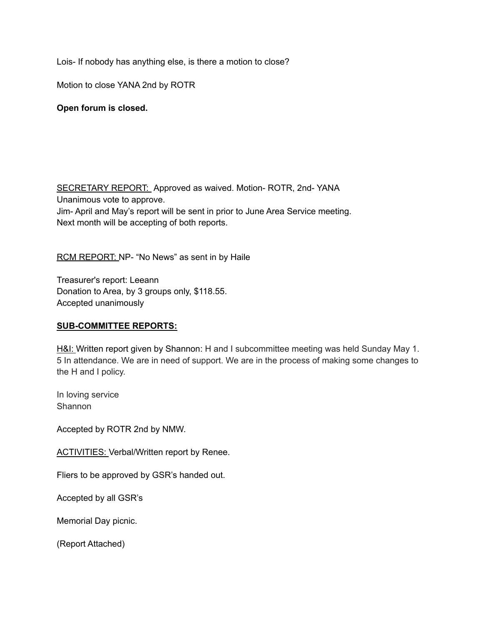Lois- If nobody has anything else, is there a motion to close?

Motion to close YANA 2nd by ROTR

## **Open forum is closed.**

SECRETARY REPORT: Approved as waived. Motion-ROTR, 2nd-YANA Unanimous vote to approve. Jim- April and May's report will be sent in prior to June Area Service meeting. Next month will be accepting of both reports.

RCM REPORT: NP- "No News" as sent in by Haile

Treasurer's report: Leeann Donation to Area, by 3 groups only, \$118.55. Accepted unanimously

#### **SUB-COMMITTEE REPORTS:**

H&I: Written report given by Shannon: H and I subcommittee meeting was held Sunday May 1. 5 In attendance. We are in need of support. We are in the process of making some changes to the H and I policy.

In loving service **Shannon** 

Accepted by ROTR 2nd by NMW.

ACTIVITIES: Verbal/Written report by Renee.

Fliers to be approved by GSR's handed out.

Accepted by all GSR's

Memorial Day picnic.

(Report Attached)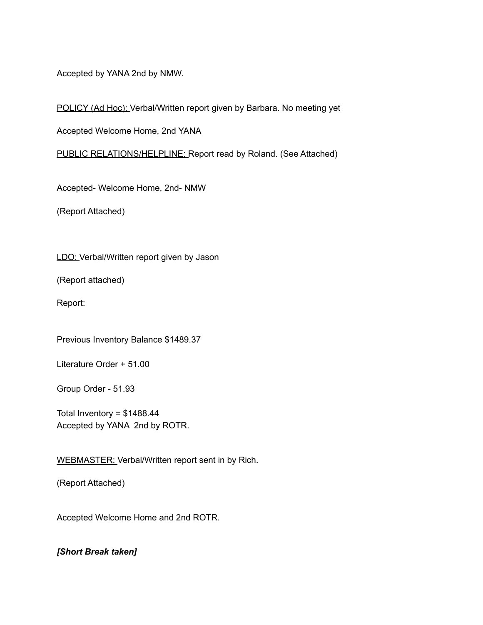Accepted by YANA 2nd by NMW.

POLICY (Ad Hoc): Verbal/Written report given by Barbara. No meeting yet

Accepted Welcome Home, 2nd YANA

PUBLIC RELATIONS/HELPLINE: Report read by Roland. (See Attached)

Accepted- Welcome Home, 2nd- NMW

(Report Attached)

LDO: Verbal/Written report given by Jason

(Report attached)

Report:

Previous Inventory Balance \$1489.37

Literature Order + 51.00

Group Order - 51.93

Total Inventory =  $$1488.44$ Accepted by YANA 2nd by ROTR.

WEBMASTER: Verbal/Written report sent in by Rich.

(Report Attached)

Accepted Welcome Home and 2nd ROTR.

*[Short Break taken]*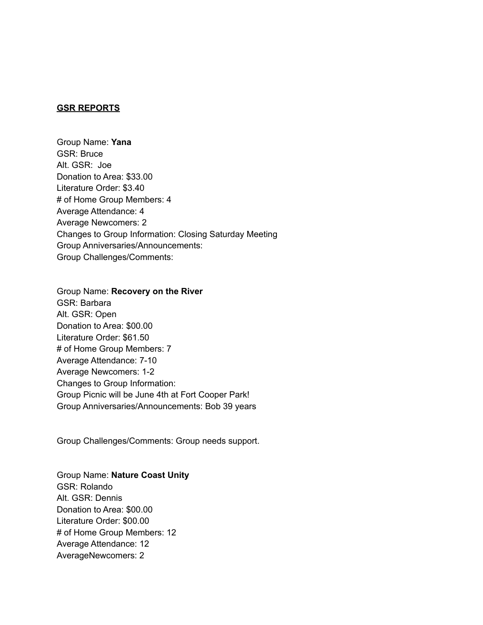#### **GSR REPORTS**

Group Name: **Yana** GSR: Bruce Alt. GSR: Joe Donation to Area: \$33.00 Literature Order: \$3.40 # of Home Group Members: 4 Average Attendance: 4 Average Newcomers: 2 Changes to Group Information: Closing Saturday Meeting Group Anniversaries/Announcements: Group Challenges/Comments:

Group Name: **Recovery on the River** GSR: Barbara Alt. GSR: Open Donation to Area: \$00.00 Literature Order: \$61.50 # of Home Group Members: 7 Average Attendance: 7-10 Average Newcomers: 1-2 Changes to Group Information: Group Picnic will be June 4th at Fort Cooper Park! Group Anniversaries/Announcements: Bob 39 years

Group Challenges/Comments: Group needs support.

Group Name: **Nature Coast Unity** GSR: Rolando Alt. GSR: Dennis Donation to Area: \$00.00 Literature Order: \$00.00 # of Home Group Members: 12 Average Attendance: 12 AverageNewcomers: 2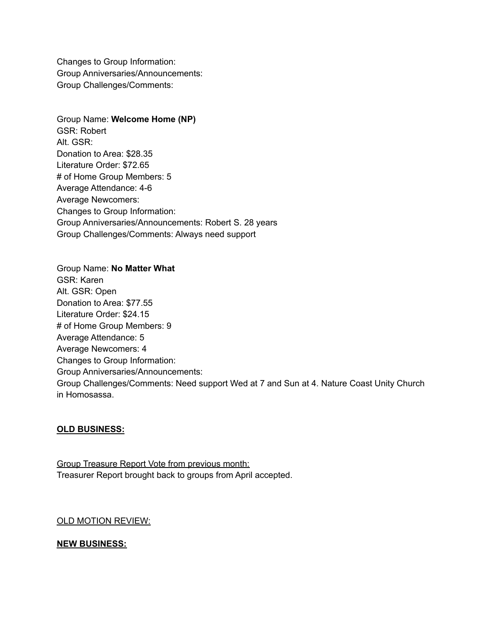Changes to Group Information: Group Anniversaries/Announcements: Group Challenges/Comments:

Group Name: **Welcome Home (NP)** GSR: Robert Alt. GSR: Donation to Area: \$28.35 Literature Order: \$72.65 # of Home Group Members: 5 Average Attendance: 4-6 Average Newcomers: Changes to Group Information: Group Anniversaries/Announcements: Robert S. 28 years Group Challenges/Comments: Always need support

Group Name: **No Matter What** GSR: Karen Alt. GSR: Open Donation to Area: \$77.55 Literature Order: \$24.15 # of Home Group Members: 9 Average Attendance: 5 Average Newcomers: 4 Changes to Group Information: Group Anniversaries/Announcements: Group Challenges/Comments: Need support Wed at 7 and Sun at 4. Nature Coast Unity Church in Homosassa.

## **OLD BUSINESS:**

Group Treasure Report Vote from previous month: Treasurer Report brought back to groups from April accepted.

## OLD MOTION REVIEW:

# **NEW BUSINESS:**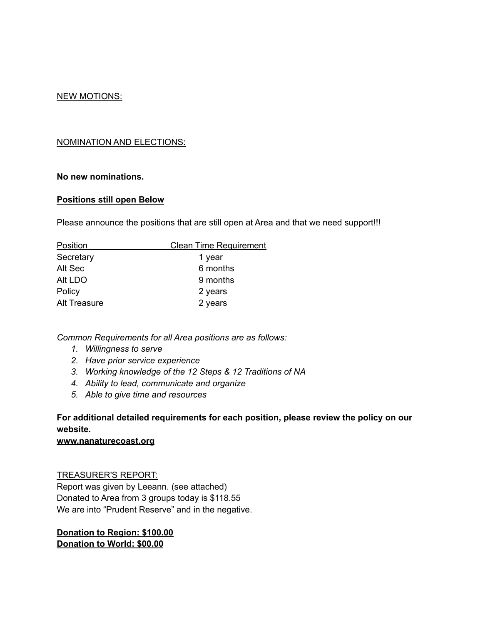## NEW MOTIONS:

## NOMINATION AND ELECTIONS:

#### **No new nominations.**

#### **Positions still open Below**

Please announce the positions that are still open at Area and that we need support!!!

| Position            | <b>Clean Time Requirement</b> |
|---------------------|-------------------------------|
| Secretary           | 1 year                        |
| Alt Sec             | 6 months                      |
| Alt LDO             | 9 months                      |
| Policy              | 2 years                       |
| <b>Alt Treasure</b> | 2 years                       |

*Common Requirements for all Area positions are as follows:*

- *1. Willingness to serve*
- *2. Have prior service experience*
- *3. Working knowledge of the 12 Steps & 12 Traditions of NA*
- *4. Ability to lead, communicate and organize*
- *5. Able to give time and resources*

# **For additional detailed requirements for each position, please review the policy on our website.**

#### **www.nanaturecoast.org**

#### TREASURER'S REPORT:

Report was given by Leeann. (see attached) Donated to Area from 3 groups today is \$118.55 We are into "Prudent Reserve" and in the negative.

## **Donation to Region: \$100.00 Donation to World: \$00.00**